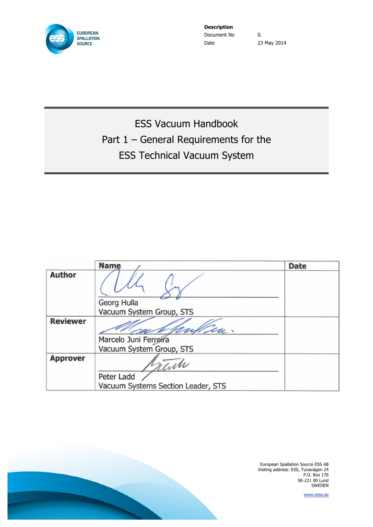

**Description** Document No  $\qquad \qquad 0.$ Date 23 May 2014

ESS Vacuum Handbook Part 1 – General Requirements for the ESS Technical Vacuum System

|                 | <b>Name</b>                        | <b>Date</b> |
|-----------------|------------------------------------|-------------|
| Author          |                                    |             |
|                 | Georg Hulla                        |             |
|                 | Vacuum System Group, STS           |             |
| <b>Reviewer</b> | iu.                                |             |
|                 | Marcelo Juni Ferreira              |             |
|                 | Vacuum System Group, STS           |             |
| <b>Approver</b> | rente                              |             |
|                 | Peter Ladd                         |             |
|                 | Vacuum Systems Section Leader, STS |             |

European Spallation Source ESS AB Visiting address: ESS, Tunavägen 24 P.O. Box 176 SE-221 00 Lund SWEDEN

www.esss.se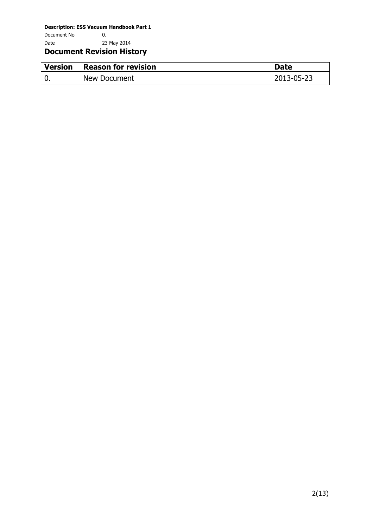Document No 0. Date 23 May 2014

# **Document Revision History**

| <b>Version</b> | <b>Reason for revision</b> | <b>Date</b> |
|----------------|----------------------------|-------------|
|                | New Document               | 2013-05-23  |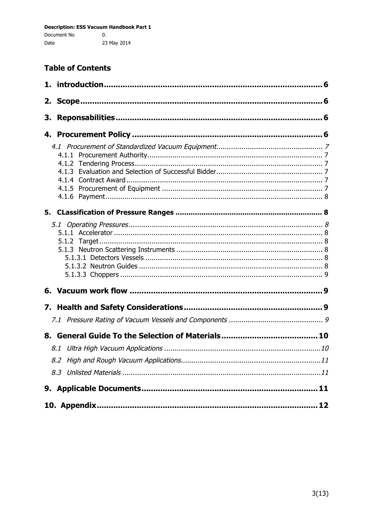# **Table of Contents**

| 2. |  |
|----|--|
| З. |  |
| 4. |  |
|    |  |
|    |  |
|    |  |
|    |  |
|    |  |
|    |  |
|    |  |
|    |  |
|    |  |
|    |  |
|    |  |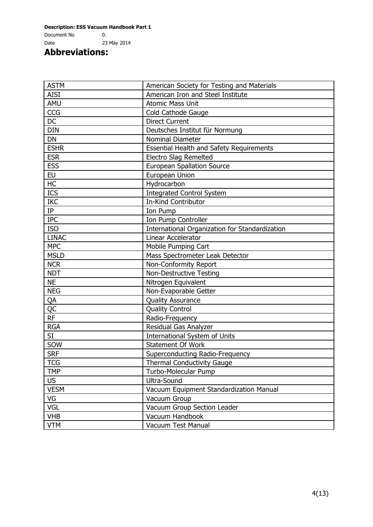Document No 0. Date 23 May 2014

**Abbreviations:**

| <b>ASTM</b>  | American Society for Testing and Materials      |
|--------------|-------------------------------------------------|
| <b>AISI</b>  | American Iron and Steel Institute               |
| AMU          | <b>Atomic Mass Unit</b>                         |
| CCG          | Cold Cathode Gauge                              |
| <b>DC</b>    | <b>Direct Current</b>                           |
| <b>DIN</b>   | Deutsches Institut für Normung                  |
| DN           | Nominal Diameter                                |
| <b>ESHR</b>  | <b>Essential Health and Safety Requirements</b> |
| <b>ESR</b>   | Electro Slag Remelted                           |
| <b>ESS</b>   | <b>European Spallation Source</b>               |
| <b>EU</b>    | European Union                                  |
| HC           | Hydrocarbon                                     |
| ICS          | <b>Integrated Control System</b>                |
| <b>IKC</b>   | <b>In-Kind Contributor</b>                      |
| IP           | Ion Pump                                        |
| <b>IPC</b>   | Ion Pump Controller                             |
| <b>ISO</b>   | International Organization for Standardization  |
| <b>LINAC</b> | Linear Accelerator                              |
| <b>MPC</b>   | Mobile Pumping Cart                             |
| <b>MSLD</b>  | Mass Spectrometer Leak Detector                 |
| <b>NCR</b>   | Non-Conformity Report                           |
| <b>NDT</b>   | <b>Non-Destructive Testing</b>                  |
| <b>NE</b>    | Nitrogen Equivalent                             |
| <b>NEG</b>   | Non-Evaporable Getter                           |
| QA           | <b>Quality Assurance</b>                        |
| <b>QC</b>    | <b>Quality Control</b>                          |
| RF           | Radio-Frequency                                 |
| <b>RGA</b>   | Residual Gas Analyzer                           |
| SI           | <b>International System of Units</b>            |
| SOW          | <b>Statement Of Work</b>                        |
| <b>SRF</b>   | <b>Superconducting Radio-Frequency</b>          |
| <b>TCG</b>   | Thermal Conductivity Gauge                      |
| <b>TMP</b>   | Turbo-Molecular Pump                            |
| <b>US</b>    | Ultra-Sound                                     |
| <b>VESM</b>  | Vacuum Equipment Standardization Manual         |
| VG           | Vacuum Group                                    |
| <b>VGL</b>   | Vacuum Group Section Leader                     |
| <b>VHB</b>   | Vacuum Handbook                                 |
| <b>VTM</b>   | <b>Vacuum Test Manual</b>                       |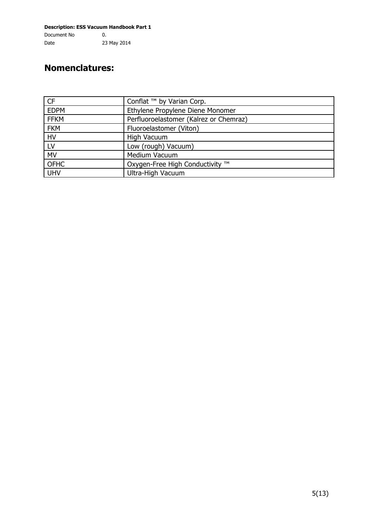**Description: ESS Vacuum Handbook Part 1** Document No 0. Date 23 May 2014

# **Nomenclatures:**

| <b>CF</b>   | Conflat ™ by Varian Corp.              |
|-------------|----------------------------------------|
| <b>EDPM</b> | Ethylene Propylene Diene Monomer       |
| <b>FFKM</b> | Perfluoroelastomer (Kalrez or Chemraz) |
| <b>FKM</b>  | Fluoroelastomer (Viton)                |
| <b>HV</b>   | <b>High Vacuum</b>                     |
| LV          | Low (rough) Vacuum)                    |
| <b>MV</b>   | Medium Vacuum                          |
| <b>OFHC</b> | Oxygen-Free High Conductivity ™        |
| <b>UHV</b>  | Ultra-High Vacuum                      |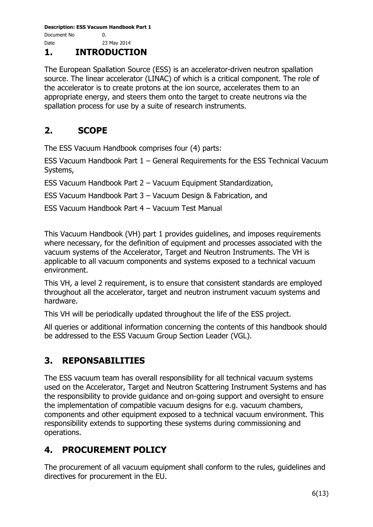# **1. INTRODUCTION**

The European Spallation Source (ESS) is an accelerator-driven neutron spallation source. The linear accelerator (LINAC) of which is a critical component. The role of the accelerator is to create protons at the ion source, accelerates them to an appropriate energy, and steers them onto the target to create neutrons via the spallation process for use by a suite of research instruments.

# **2. SCOPE**

The ESS Vacuum Handbook comprises four (4) parts:

ESS Vacuum Handbook Part 1 – General Requirements for the ESS Technical Vacuum Systems,

ESS Vacuum Handbook Part 2 – Vacuum Equipment Standardization,

ESS Vacuum Handbook Part 3 – Vacuum Design & Fabrication, and

ESS Vacuum Handbook Part 4 – Vacuum Test Manual

This Vacuum Handbook (VH) part 1 provides guidelines, and imposes requirements where necessary, for the definition of equipment and processes associated with the vacuum systems of the Accelerator, Target and Neutron Instruments. The VH is applicable to all vacuum components and systems exposed to a technical vacuum environment.

This VH, a level 2 requirement, is to ensure that consistent standards are employed throughout all the accelerator, target and neutron instrument vacuum systems and hardware.

This VH will be periodically updated throughout the life of the ESS project.

All queries or additional information concerning the contents of this handbook should be addressed to the ESS Vacuum Group Section Leader (VGL).

# **3. REPONSABILITIES**

The ESS vacuum team has overall responsibility for all technical vacuum systems used on the Accelerator, Target and Neutron Scattering Instrument Systems and has the responsibility to provide guidance and on-going support and oversight to ensure the implementation of compatible vacuum designs for e.g. vacuum chambers, components and other equipment exposed to a technical vacuum environment. This responsibility extends to supporting these systems during commissioning and operations.

# **4. PROCUREMENT POLICY**

The procurement of all vacuum equipment shall conform to the rules, guidelines and directives for procurement in the EU.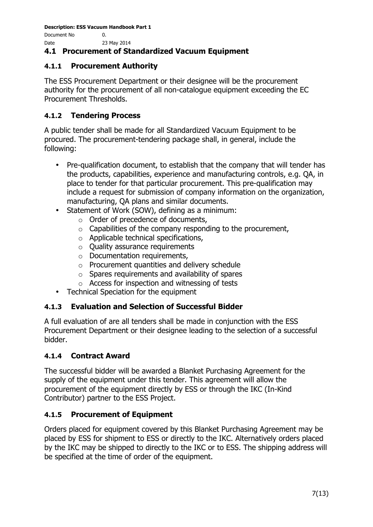Document No 0. Date 23 May 2014

### **4.1 Procurement of Standardized Vacuum Equipment**

### **4.1.1 Procurement Authority**

The ESS Procurement Department or their designee will be the procurement authority for the procurement of all non-catalogue equipment exceeding the EC Procurement Thresholds.

### **4.1.2 Tendering Process**

A public tender shall be made for all Standardized Vacuum Equipment to be procured. The procurement-tendering package shall, in general, include the following:

- Pre-qualification document, to establish that the company that will tender has the products, capabilities, experience and manufacturing controls, e.g. QA, in place to tender for that particular procurement. This pre-qualification may include a request for submission of company information on the organization, manufacturing, QA plans and similar documents.
- Statement of Work (SOW), defining as a minimum:
	- o Order of precedence of documents,
	- $\circ$  Capabilities of the company responding to the procurement,
	- o Applicable technical specifications,
	- o Quality assurance requirements
	- o Documentation requirements,
	- o Procurement quantities and delivery schedule
	- $\circ$  Spares requirements and availability of spares
	- o Access for inspection and witnessing of tests
- Technical Speciation for the equipment

### **4.1.3 Evaluation and Selection of Successful Bidder**

A full evaluation of are all tenders shall be made in conjunction with the ESS Procurement Department or their designee leading to the selection of a successful bidder.

### **4.1.4 Contract Award**

The successful bidder will be awarded a Blanket Purchasing Agreement for the supply of the equipment under this tender. This agreement will allow the procurement of the equipment directly by ESS or through the IKC (In-Kind Contributor) partner to the ESS Project.

### **4.1.5 Procurement of Equipment**

Orders placed for equipment covered by this Blanket Purchasing Agreement may be placed by ESS for shipment to ESS or directly to the IKC. Alternatively orders placed by the IKC may be shipped to directly to the IKC or to ESS. The shipping address will be specified at the time of order of the equipment.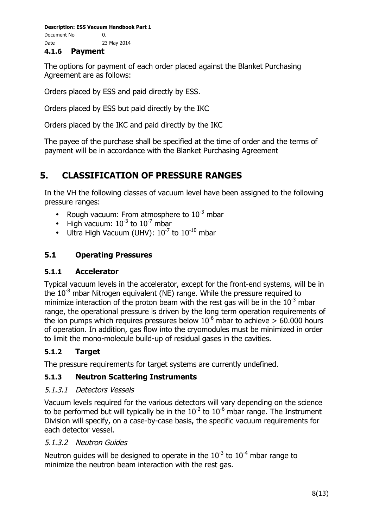**Description: ESS Vacuum Handbook Part 1** Document No 0. Date 23 May 2014

#### **4.1.6 Payment**

The options for payment of each order placed against the Blanket Purchasing Agreement are as follows:

Orders placed by ESS and paid directly by ESS.

Orders placed by ESS but paid directly by the IKC

Orders placed by the IKC and paid directly by the IKC

The payee of the purchase shall be specified at the time of order and the terms of payment will be in accordance with the Blanket Purchasing Agreement

# **5. CLASSIFICATION OF PRESSURE RANGES**

In the VH the following classes of vacuum level have been assigned to the following pressure ranges:

- Rough vacuum: From atmosphere to  $10^{-3}$  mbar
- High vacuum:  $10^{-3}$  to  $10^{-7}$  mbar
- Ultra High Vacuum (UHV):  $10^{-7}$  to  $10^{-10}$  mbar

### **5.1 Operating Pressures**

### **5.1.1 Accelerator**

Typical vacuum levels in the accelerator, except for the front-end systems, will be in the  $10^{-8}$  mbar Nitrogen equivalent (NE) range. While the pressure required to minimize interaction of the proton beam with the rest gas will be in the  $10^{-3}$  mbar range, the operational pressure is driven by the long term operation requirements of the ion pumps which requires pressures below  $10^{-6}$  mbar to achieve  $> 60.000$  hours of operation. In addition, gas flow into the cryomodules must be minimized in order to limit the mono-molecule build-up of residual gases in the cavities.

### **5.1.2 Target**

The pressure requirements for target systems are currently undefined.

### **5.1.3 Neutron Scattering Instruments**

### 5.1.3.1 Detectors Vessels

Vacuum levels required for the various detectors will vary depending on the science to be performed but will typically be in the  $10^{-2}$  to  $10^{-6}$  mbar range. The Instrument Division will specify, on a case-by-case basis, the specific vacuum requirements for each detector vessel.

### 5.1.3.2 Neutron Guides

Neutron guides will be designed to operate in the  $10^{-3}$  to  $10^{-4}$  mbar range to minimize the neutron beam interaction with the rest gas.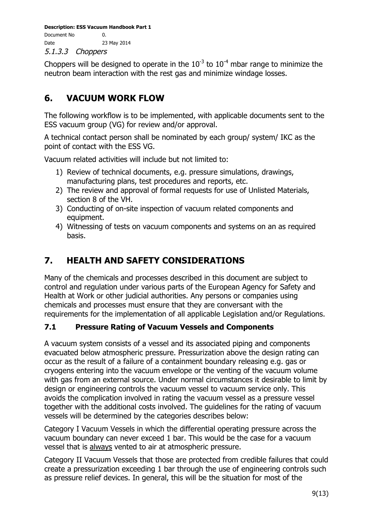**Description: ESS Vacuum Handbook Part 1** Document No 0. Date 23 May 2014 5.1.3.3 Choppers

Choppers will be designed to operate in the  $10^{-3}$  to  $10^{-4}$  mbar range to minimize the neutron beam interaction with the rest gas and minimize windage losses.

# **6. VACUUM WORK FLOW**

The following workflow is to be implemented, with applicable documents sent to the ESS vacuum group (VG) for review and/or approval.

A technical contact person shall be nominated by each group/ system/ IKC as the point of contact with the ESS VG.

Vacuum related activities will include but not limited to:

- 1) Review of technical documents, e.g. pressure simulations, drawings, manufacturing plans, test procedures and reports, etc.
- 2) The review and approval of formal requests for use of Unlisted Materials, section 8 of the VH.
- 3) Conducting of on-site inspection of vacuum related components and equipment.
- 4) Witnessing of tests on vacuum components and systems on an as required basis.

# **7. HEALTH AND SAFETY CONSIDERATIONS**

Many of the chemicals and processes described in this document are subject to control and regulation under various parts of the European Agency for Safety and Health at Work or other judicial authorities. Any persons or companies using chemicals and processes must ensure that they are conversant with the requirements for the implementation of all applicable Legislation and/or Regulations.

# **7.1 Pressure Rating of Vacuum Vessels and Components**

A vacuum system consists of a vessel and its associated piping and components evacuated below atmospheric pressure. Pressurization above the design rating can occur as the result of a failure of a containment boundary releasing e.g. gas or cryogens entering into the vacuum envelope or the venting of the vacuum volume with gas from an external source. Under normal circumstances it desirable to limit by design or engineering controls the vacuum vessel to vacuum service only. This avoids the complication involved in rating the vacuum vessel as a pressure vessel together with the additional costs involved. The guidelines for the rating of vacuum vessels will be determined by the categories describes below:

Category I Vacuum Vessels in which the differential operating pressure across the vacuum boundary can never exceed 1 bar. This would be the case for a vacuum vessel that is always vented to air at atmospheric pressure.

Category II Vacuum Vessels that those are protected from credible failures that could create a pressurization exceeding 1 bar through the use of engineering controls such as pressure relief devices. In general, this will be the situation for most of the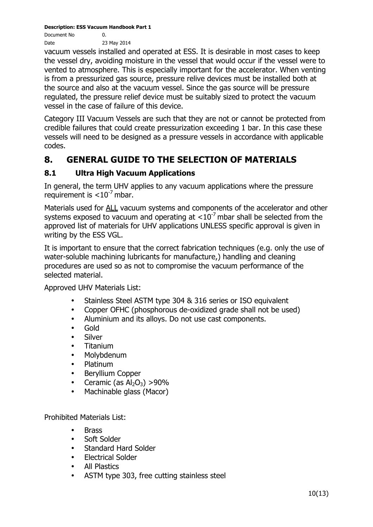Document No 0. Date 23 May 2014

vacuum vessels installed and operated at ESS. It is desirable in most cases to keep the vessel dry, avoiding moisture in the vessel that would occur if the vessel were to vented to atmosphere. This is especially important for the accelerator. When venting is from a pressurized gas source, pressure relive devices must be installed both at the source and also at the vacuum vessel. Since the gas source will be pressure regulated, the pressure relief device must be suitably sized to protect the vacuum vessel in the case of failure of this device.

Category III Vacuum Vessels are such that they are not or cannot be protected from credible failures that could create pressurization exceeding 1 bar. In this case these vessels will need to be designed as a pressure vessels in accordance with applicable codes.

# **8. GENERAL GUIDE TO THE SELECTION OF MATERIALS**

# **8.1 Ultra High Vacuum Applications**

In general, the term UHV applies to any vacuum applications where the pressure requirement is  $< 10^{-7}$  mbar.

Materials used for ALL vacuum systems and components of the accelerator and other systems exposed to vacuum and operating at  $< 10^{-7}$  mbar shall be selected from the approved list of materials for UHV applications UNLESS specific approval is given in writing by the ESS VGL.

It is important to ensure that the correct fabrication techniques (e.g. only the use of water-soluble machining lubricants for manufacture,) handling and cleaning procedures are used so as not to compromise the vacuum performance of the selected material.

Approved UHV Materials List:

- Stainless Steel ASTM type 304 & 316 series or ISO equivalent
- Copper OFHC (phosphorous de-oxidized grade shall not be used)
- Aluminium and its alloys. Do not use cast components.
- Gold
- **Silver**
- Titanium
- Molybdenum
- Platinum
- Beryllium Copper
- Ceramic (as  $Al_2O_3$ ) >90%
- Machinable glass (Macor)

Prohibited Materials List:

- **Brass**
- Soft Solder
- Standard Hard Solder
- Electrical Solder
- All Plastics
- ASTM type 303, free cutting stainless steel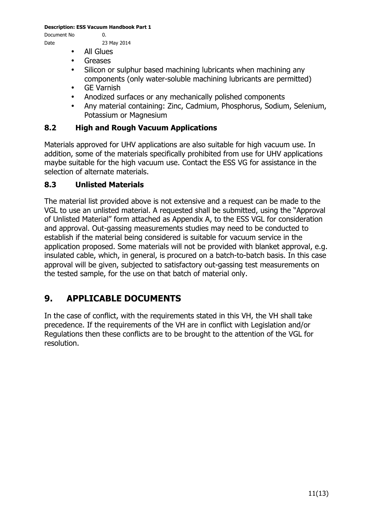Document No 0.

- Date 23 May 2014
	- All Glues
	- Greases
	- Silicon or sulphur based machining lubricants when machining any components (only water-soluble machining lubricants are permitted)
	- GE Varnish
	- Anodized surfaces or any mechanically polished components
	- Any material containing: Zinc, Cadmium, Phosphorus, Sodium, Selenium, Potassium or Magnesium

#### **8.2 High and Rough Vacuum Applications**

Materials approved for UHV applications are also suitable for high vacuum use. In addition, some of the materials specifically prohibited from use for UHV applications maybe suitable for the high vacuum use. Contact the ESS VG for assistance in the selection of alternate materials.

#### **8.3 Unlisted Materials**

The material list provided above is not extensive and a request can be made to the VGL to use an unlisted material. A requested shall be submitted, using the "Approval of Unlisted Material" form attached as Appendix A, to the ESS VGL for consideration and approval. Out-gassing measurements studies may need to be conducted to establish if the material being considered is suitable for vacuum service in the application proposed. Some materials will not be provided with blanket approval, e.g. insulated cable, which, in general, is procured on a batch-to-batch basis. In this case approval will be given, subjected to satisfactory out-gassing test measurements on the tested sample, for the use on that batch of material only.

# **9. APPLICABLE DOCUMENTS**

In the case of conflict, with the requirements stated in this VH, the VH shall take precedence. If the requirements of the VH are in conflict with Legislation and/or Regulations then these conflicts are to be brought to the attention of the VGL for resolution.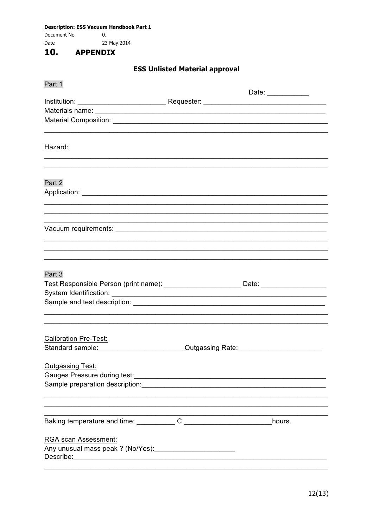Document No  $\mathbf{0}$ . Date 23 May 2014

#### 10. **APPENDIX**

# **ESS Unlisted Material approval**

| Part 1                                                                                                                                                                                                                                                    |                                                        |
|-----------------------------------------------------------------------------------------------------------------------------------------------------------------------------------------------------------------------------------------------------------|--------------------------------------------------------|
|                                                                                                                                                                                                                                                           | Date: $\frac{1}{\sqrt{1-\frac{1}{2}}\cdot\frac{1}{2}}$ |
|                                                                                                                                                                                                                                                           |                                                        |
|                                                                                                                                                                                                                                                           |                                                        |
|                                                                                                                                                                                                                                                           |                                                        |
| Hazard:                                                                                                                                                                                                                                                   |                                                        |
| Part 2                                                                                                                                                                                                                                                    |                                                        |
|                                                                                                                                                                                                                                                           |                                                        |
|                                                                                                                                                                                                                                                           |                                                        |
|                                                                                                                                                                                                                                                           |                                                        |
| Part 3<br>Test Responsible Person (print name): ______________________________Date: __________________________                                                                                                                                            |                                                        |
| <b>Calibration Pre-Test:</b><br>Standard sample: ___________________________Outgassing Rate: ___________________                                                                                                                                          |                                                        |
| <b>Outgassing Test:</b><br>Sample preparation description: example and a series of the series of the series of the series of the series of the series of the series of the series of the series of the series of the series of the series of the series o |                                                        |
|                                                                                                                                                                                                                                                           | hours.                                                 |
| RGA scan Assessment:                                                                                                                                                                                                                                      |                                                        |